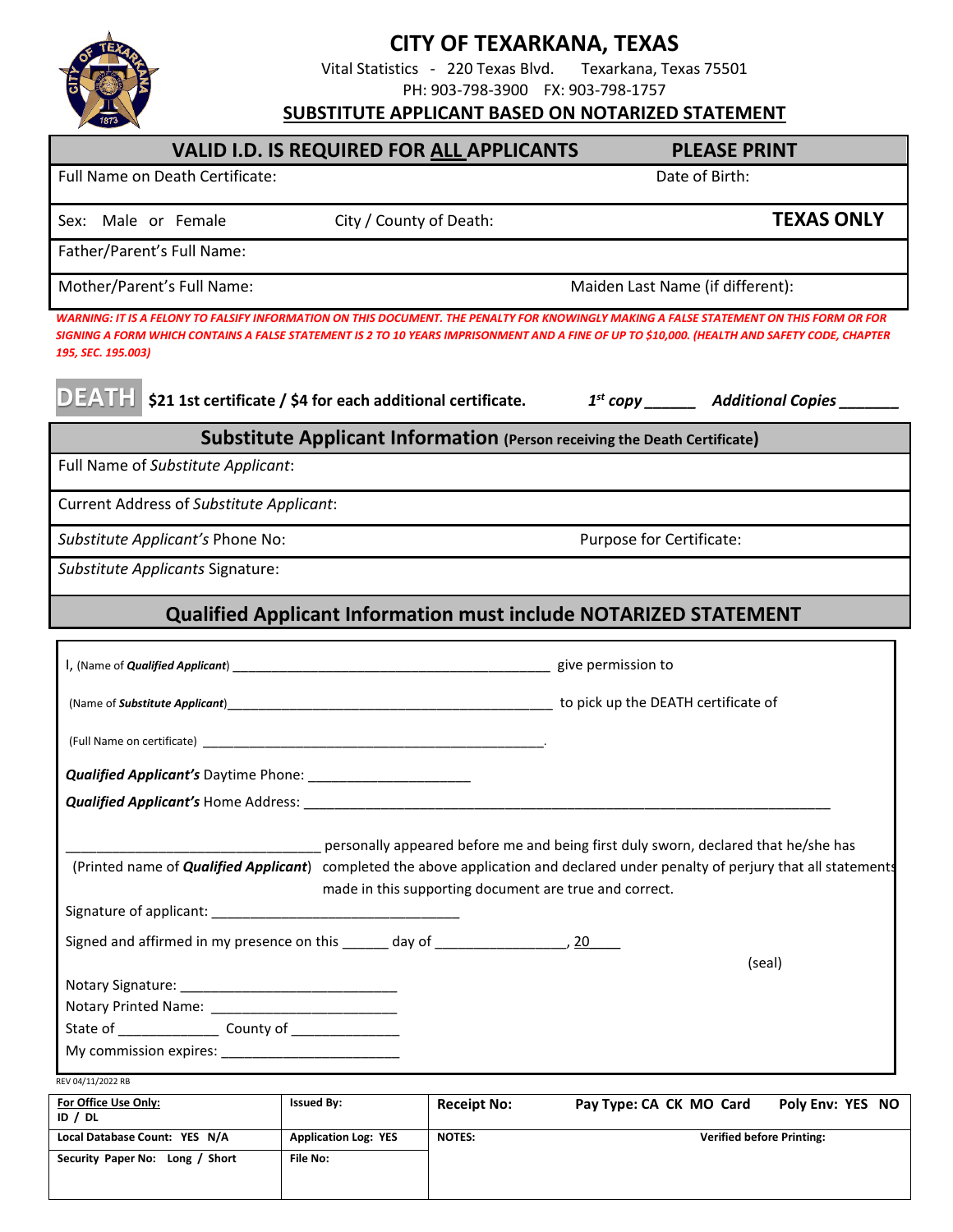

## **CITY OF TEXARKANA, TEXAS**<br>istics - 220 Texas Blvd. Texarkana, Texas 75501

Vital Statistics - 220 Texas Blvd. PH: 903-798-3900 FX: 903-798-1757

**SUBSTITUTE APPLICANT BASED ON NOTARIZED STATEMENT**

| <b>VALID I.D. IS REQUIRED FOR ALL APPLICANTS</b>                                                                                                                                                                                                                                                              |                                         |                                  | <b>PLEASE PRINT</b>      |                                  |                   |
|---------------------------------------------------------------------------------------------------------------------------------------------------------------------------------------------------------------------------------------------------------------------------------------------------------------|-----------------------------------------|----------------------------------|--------------------------|----------------------------------|-------------------|
| Full Name on Death Certificate:                                                                                                                                                                                                                                                                               | Date of Birth:                          |                                  |                          |                                  |                   |
| Sex: Male or Female                                                                                                                                                                                                                                                                                           | City / County of Death:                 |                                  |                          |                                  | <b>TEXAS ONLY</b> |
| Father/Parent's Full Name:                                                                                                                                                                                                                                                                                    |                                         |                                  |                          |                                  |                   |
| Mother/Parent's Full Name:                                                                                                                                                                                                                                                                                    |                                         | Maiden Last Name (if different): |                          |                                  |                   |
| WARNING: IT IS A FELONY TO FALSIFY INFORMATION ON THIS DOCUMENT. THE PENALTY FOR KNOWINGLY MAKING A FALSE STATEMENT ON THIS FORM OR FOR<br>SIGNING A FORM WHICH CONTAINS A FALSE STATEMENT IS 2 TO 10 YEARS IMPRISONMENT AND A FINE OF UP TO \$10,000. (HEALTH AND SAFETY CODE, CHAPTER<br>195, SEC. 195.003) |                                         |                                  |                          |                                  |                   |
| <b>DEATH</b> \$21 1st certificate / \$4 for each additional certificate. $1^{st}$ copy ______ Additional Copies ______                                                                                                                                                                                        |                                         |                                  |                          |                                  |                   |
| Substitute Applicant Information (Person receiving the Death Certificate)                                                                                                                                                                                                                                     |                                         |                                  |                          |                                  |                   |
| Full Name of Substitute Applicant:                                                                                                                                                                                                                                                                            |                                         |                                  |                          |                                  |                   |
| <b>Current Address of Substitute Applicant:</b>                                                                                                                                                                                                                                                               |                                         |                                  |                          |                                  |                   |
| Substitute Applicant's Phone No:                                                                                                                                                                                                                                                                              |                                         |                                  | Purpose for Certificate: |                                  |                   |
| Substitute Applicants Signature:                                                                                                                                                                                                                                                                              |                                         |                                  |                          |                                  |                   |
| Qualified Applicant Information must include NOTARIZED STATEMENT                                                                                                                                                                                                                                              |                                         |                                  |                          |                                  |                   |
|                                                                                                                                                                                                                                                                                                               |                                         |                                  |                          |                                  |                   |
|                                                                                                                                                                                                                                                                                                               |                                         |                                  |                          |                                  |                   |
|                                                                                                                                                                                                                                                                                                               |                                         |                                  |                          |                                  |                   |
|                                                                                                                                                                                                                                                                                                               |                                         |                                  |                          |                                  |                   |
|                                                                                                                                                                                                                                                                                                               |                                         |                                  |                          |                                  |                   |
| personally appeared before me and being first duly sworn, declared that he/she has<br>(Printed name of <b>Qualified Applicant</b> ) completed the above application and declared under penalty of perjury that all statements<br>made in this supporting document are true and correct.                       |                                         |                                  |                          |                                  |                   |
| Signed and affirmed in my presence on this _______ day of _______________________, 20                                                                                                                                                                                                                         |                                         |                                  |                          |                                  |                   |
| (seal)                                                                                                                                                                                                                                                                                                        |                                         |                                  |                          |                                  |                   |
| Notary Printed Name: _________________________                                                                                                                                                                                                                                                                |                                         |                                  |                          |                                  |                   |
|                                                                                                                                                                                                                                                                                                               |                                         |                                  |                          |                                  |                   |
|                                                                                                                                                                                                                                                                                                               |                                         |                                  |                          |                                  |                   |
| REV 04/11/2022 RB<br><b>For Office Use Only:</b>                                                                                                                                                                                                                                                              | <b>Issued By:</b>                       |                                  | Pay Type: CA CK MO Card  |                                  | Poly Env: YES NO  |
| ID $/$ DL                                                                                                                                                                                                                                                                                                     |                                         | <b>Receipt No:</b>               |                          |                                  |                   |
| Local Database Count: YES N/A<br>Security Paper No: Long / Short                                                                                                                                                                                                                                              | <b>Application Log: YES</b><br>File No: | <b>NOTES:</b>                    |                          | <b>Verified before Printing:</b> |                   |